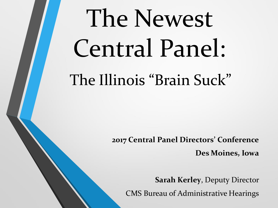# The Newest Central Panel: The Illinois "Brain Suck"

**2017 Central Panel Directors' Conference**

**Des Moines, Iowa**

**Sarah Kerley**, Deputy Director CMS Bureau of Administrative Hearings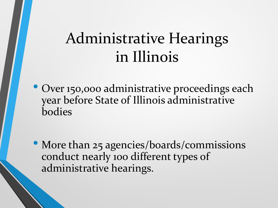### Administrative Hearings in Illinois

• Over 150,000 administrative proceedings each year before State of Illinois administrative bodies

• More than 25 agencies/boards/commissions conduct nearly 100 different types of administrative hearings.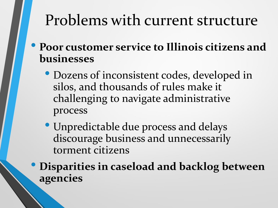### Problems with current structure

- **Poor customer service to Illinois citizens and businesses** 
	- Dozens of inconsistent codes, developed in silos, and thousands of rules make it challenging to navigate administrative process
	- Unpredictable due process and delays discourage business and unnecessarily torment citizens

• **Disparities in caseload and backlog between agencies**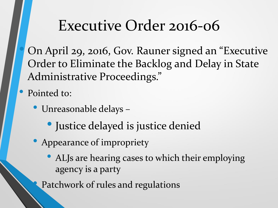#### Executive Order 2016-06

• On April 29, 2016, Gov. Rauner signed an "Executive Order to Eliminate the Backlog and Delay in State Administrative Proceedings."

• Pointed to:

- Unreasonable delays
	- Justice delayed is justice denied
- Appearance of impropriety
	- ALJs are hearing cases to which their employing agency is a party

Patchwork of rules and regulations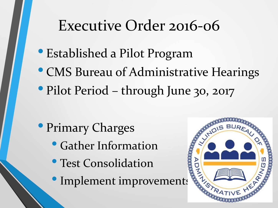#### Executive Order 2016-06

- Established a Pilot Program
- CMS Bureau of Administrative Hearings
- Pilot Period through June 30, 2017

- Primary Charges
	- Gather Information
	- Test Consolidation
	- Implement improvements

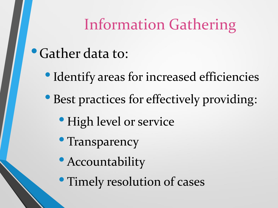### Information Gathering

- •Gather data to:
	- Identify areas for increased efficiencies
	- Best practices for effectively providing:
		- High level or service
		- Transparency
		- Accountability
		- Timely resolution of cases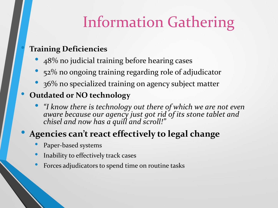# Information Gathering

#### • **Training Deficiencies**

- 48% no judicial training before hearing cases
- 52% no ongoing training regarding role of adjudicator
- 36% no specialized training on agency subject matter

#### • **Outdated or NO technology**

• *"I know there is technology out there of which we are not even aware because our agency just got rid of its stone tablet and chisel and now has a quill and scroll!"*

#### • **Agencies can't react effectively to legal change**

- Paper-based systems
- Inability to effectively track cases
- Forces adjudicators to spend time on routine tasks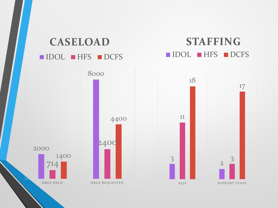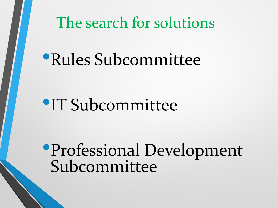The search for solutions

# •Rules Subcommittee

# •IT Subcommittee

•Professional Development Subcommittee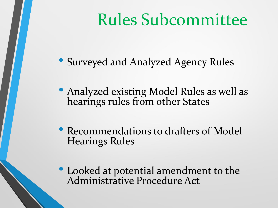# Rules Subcommittee

• Surveyed and Analyzed Agency Rules

• Analyzed existing Model Rules as well as hearings rules from other States

• Recommendations to drafters of Model Hearings Rules

• Looked at potential amendment to the Administrative Procedure Act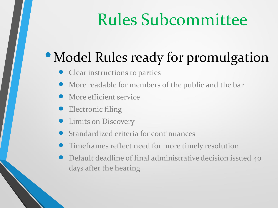# Rules Subcommittee

# • Model Rules ready for promulgation

- Clear instructions to parties
- More readable for members of the public and the bar
- More efficient service
- Electronic filing
- Limits on Discovery
- Standardized criteria for continuances
- Timeframes reflect need for more timely resolution
- Default deadline of final administrative decision issued 40 days after the hearing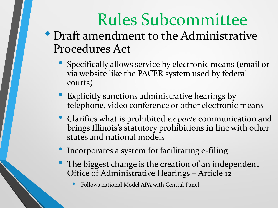# Rules Subcommittee

- Draft amendment to the Administrative Procedures Act
	- Specifically allows service by electronic means (email or via website like the PACER system used by federal courts)
	- Explicitly sanctions administrative hearings by telephone, video conference or other electronic means
	- Clarifies what is prohibited *ex parte* communication and brings Illinois's statutory prohibitions in line with other states and national models
	- Incorporates a system for facilitating e-filing
	- The biggest change is the creation of an independent Office of Administrative Hearings – Article 12
		- Follows national Model APA with Central Panel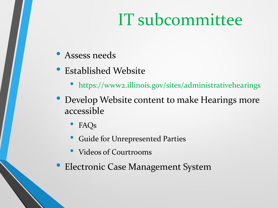# IT subcommittee

- Assess needs
- Established Website
	- https://www2.illinois.gov/sites/administrativehearings
- Develop Website content to make Hearings more accessible
	- FAQs
	- Guide for Unrepresented Parties
	- Videos of Courtrooms
- Electronic Case Management System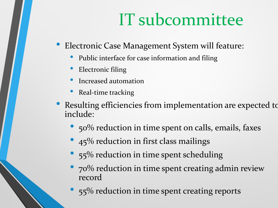# IT subcommittee

- Electronic Case Management System will feature:
	- Public interface for case information and filing
	- Electronic filing
	- Increased automation
	- Real-time tracking
- Resulting efficiencies from implementation are expected to include:
	- 50% reduction in time spent on calls, emails, faxes
	- 45% reduction in first class mailings
	- 55% reduction in time spent scheduling
	- 70% reduction in time spent creating admin review record
	- 55% reduction in time spent creating reports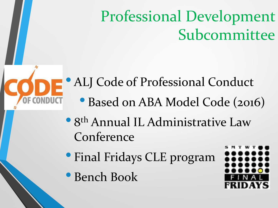# Professional Development Subcommittee

• ALJ Code of Professional Conduct

- Based on ABA Model Code (2016)
- 8 th Annual IL Administrative Law Conference
- Final Fridays CLE program
- Bench Book

OF CONDUCT

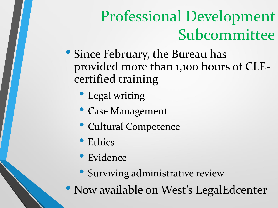# Professional Development Subcommittee

- Since February, the Bureau has provided more than 1,100 hours of CLEcertified training
	- Legal writing
	- Case Management
	- Cultural Competence
	- Ethics
	- Evidence
	- Surviving administrative review
- Now available on West's LegalEdcenter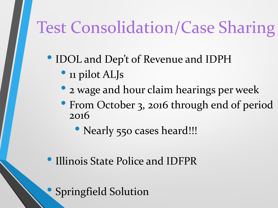# Test Consolidation/Case Sharing

- IDOL and Dep't of Revenue and IDPH
	- 11 pilot ALJs
	- 2 wage and hour claim hearings per week
	- From October 3, 2016 through end of period 2016
		- Nearly 550 cases heard!!!
- Illinois State Police and IDFPR

• Springfield Solution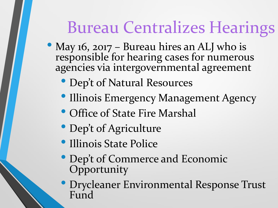# Bureau Centralizes Hearings

- May 16, 2017 Bureau hires an ALJ who is responsible for hearing cases for numerous agencies via intergovernmental agreement
	- Dep't of Natural Resources
	- Illinois Emergency Management Agency
	- Office of State Fire Marshal
	- Dep't of Agriculture
	- Illinois State Police
	- Dep't of Commerce and Economic **Opportunity**
	- Drycleaner Environmental Response Trust Fund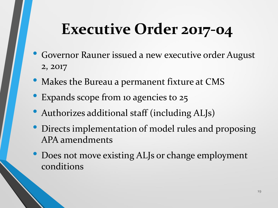# **Executive Order 2017-04**

- Governor Rauner issued a new executive order August 2, 2017
- Makes the Bureau a permanent fixture at CMS
- Expands scope from 10 agencies to 25
- Authorizes additional staff (including ALJs)
- Directs implementation of model rules and proposing APA amendments
- Does not move existing ALJs or change employment conditions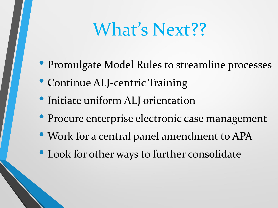# What's Next??

- Promulgate Model Rules to streamline processes
- Continue ALJ-centric Training
- Initiate uniform ALJ orientation
- Procure enterprise electronic case management
- Work for a central panel amendment to APA
- Look for other ways to further consolidate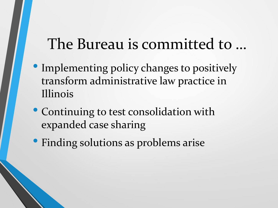#### The Bureau is committed to …

- Implementing policy changes to positively transform administrative law practice in Illinois
- Continuing to test consolidation with expanded case sharing
- Finding solutions as problems arise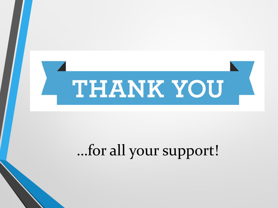

# …for all your support!